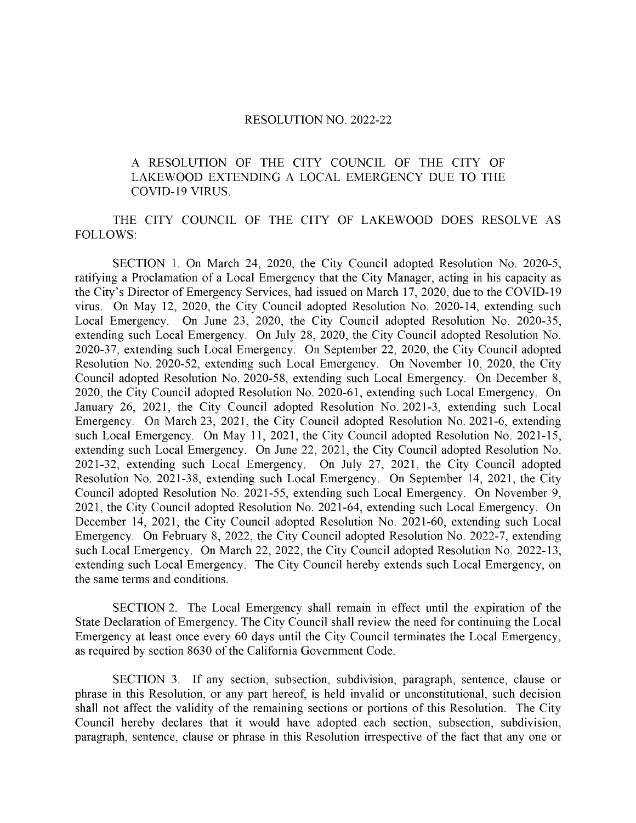## RESOLUTION NO. 2022-22

## A RESOLUTION OF THE CITY COUNCIL OF THE CITY OF LAKEWOOD EXTENDING A LOCAL EMERGENCY DUE TO THE COVID- 19 VIRUS.

## THE CITY COUNCIL OF THE CITY OF LAKEWOOD DOES RESOLVE AS FOLLOWS:

SECTION 1. On March 24, 2020, the City Council adopted Resolution No. 2020-5, ratifying a Proclamation of a Local Emergency that the City Manager, acting in his capacity as the City's Director of Emergency Services, had issued on March 17, 2020, due to the COVID-19 virus. On May 12, 2020, the City Council adopted Resolution No. 2020- 14, extending such Local Emergency. On June 23, 2020, the City Council adopted Resolution No. 2020-35, extending such Local Emergency. On July 28, 2020, the City Council adopted Resolution No. 2020-37, extending such Local Emergency. On September 22, 2020, the City Council adopted Resolution No. 2020-52, extending such Local Emergency. On November 10, 2020, the City Council adopted Resolution No. 2020-58, extending such Local Emergency. On December 8, 2020, the City Council adopted Resolution No. 2020-61, extending such Local Emergency. On January 26, 2021, the City Council adopted Resolution No. 2021-3, extending such Local Emergency. On March 23, 2021, the City Council adopted Resolution No. 2021-6, extending such Local Emergency. On May 11, 2021, the City Council adopted Resolution No. 2021-15, extending such Local Emergency. On June 22, 2021, the City Council adopted Resolution No. 2021-32, extending such Local Emergency. On July 27, 2021, the City Council adopted Resolution No. 2021-38, extending such Local Emergency. On September 14, 2021, the City Council adopted Resolution No. 2021-55, extending such Local Emergency. On November 9, 2021, the City Council adopted Resolution No. 2021-64, extending such Local Emergency. On December 14, 2021, the City Council adopted Resolution No. 2021-60, extending such Local Emergency. On February 8, 2022, the City Council adopted Resolution No. 2022-7, extending such Local Emergency. On March 22, 2022, the City Council adopted Resolution No. 2022-13, extending such Local Emergency. The City Council hereby extends such Local Emergency, on the same terms and conditions.

SECTION 2. The Local Emergency shall remain in effect until the expiration of the State Declaration of Emergency. The City Council shall review the need for continuing the Local Emergency at least once every 60 days until the City Council terminates the Local Emergency, as required by section 8630 of the California Government Code.

SECTION 3. If any section, subsection, subdivision, paragraph, sentence, clause or phrase in this Resolution, or any part hereof, is held invalid or unconstitutional, such decision shall not affect the validity of the remaining sections or portions of this Resolution. The City Council hereby declares that it would have adopted each section, subsection, subdivision, paragraph, sentence, clause or phrase in this Resolution irrespective of the fact that any one or